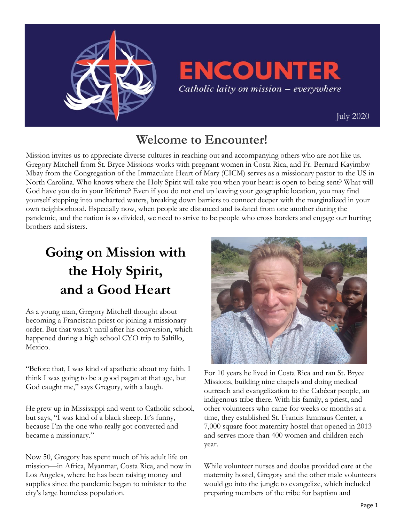

## **ENCOUNTER** Catholic laity on mission - everywhere

 [July 2020](https://uscatholicmission.org/encounter)

### **Welcome to Encounter!**

Mission invites us to appreciate diverse cultures in reaching out and accompanying others who are not like us. Gregory Mitchell from St. Bryce Missions works with pregnant women in Costa Rica, and Fr. Bernard Kayimbw Mbay from the Congregation of the Immaculate Heart of Mary (CICM) serves as a missionary pastor to the US in North Carolina. Who knows where the Holy Spirit will take you when your heart is open to being sent? What will God have you do in your lifetime? Even if you do not end up leaving your geographic location, you may find yourself stepping into uncharted waters, breaking down barriers to connect deeper with the marginalized in your own neighborhood. Especially now, when people are distanced and isolated from one another during the pandemic, and the nation is so divided, we need to strive to be people who cross borders and engage our hurting brothers and sisters.

# **Going on Mission with the Holy Spirit, and a Good Heart**

As a young man, Gregory Mitchell thought about becoming a Franciscan priest or joining a missionary order. But that wasn't until after his conversion, which happened during a high school CYO trip to Saltillo, Mexico.

"Before that, I was kind of apathetic about my faith. I think I was going to be a good pagan at that age, but God caught me," says Gregory, with a laugh.

He grew up in Mississippi and went to Catholic school, but says, "I was kind of a black sheep. It's funny, because I'm the one who really got converted and became a missionary."

Now 50, Gregory has spent much of his adult life on mission—in Africa, Myanmar, Costa Rica, and now in Los Angeles, where he has been raising money and supplies since the pandemic began to minister to the city's large homeless population.



For 10 years he lived in Costa Rica and ran St. Bryce Missions, building nine chapels and doing medical outreach and evangelization to the Cabécar people, an indigenous tribe there. With his family, a priest, and other volunteers who came for weeks or months at a time, they established St. Francis Emmaus Center, a 7,000 square foot maternity hostel that opened in 2013 and serves more than 400 women and children each year.

While volunteer nurses and doulas provided care at the maternity hostel, Gregory and the other male volunteers would go into the jungle to evangelize, which included preparing members of the tribe for baptism and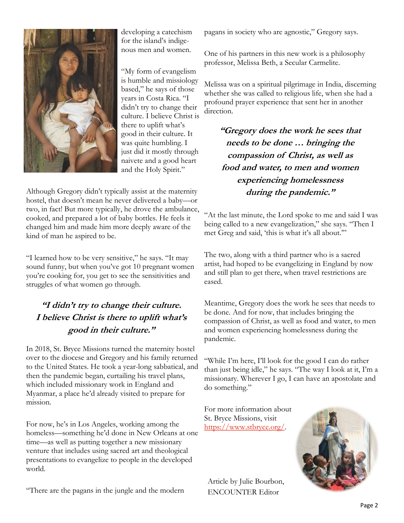

developing a catechism for the island's indigenous men and women.

"My form of evangelism is humble and missiology based," he says of those years in Costa Rica. "I didn't try to change their culture. I believe Christ is there to uplift what's good in their culture. It was quite humbling. I just did it mostly through naivete and a good heart and the Holy Spirit."

Although Gregory didn't typically assist at the maternity hostel, that doesn't mean he never delivered a baby—or two, in fact! But more typically, he drove the ambulance, cooked, and prepared a lot of baby bottles. He feels it changed him and made him more deeply aware of the kind of man he aspired to be.

"I learned how to be very sensitive," he says. "It may sound funny, but when you've got 10 pregnant women you're cooking for, you get to see the sensitivities and struggles of what women go through.

#### **"I didn't try to change their culture. I believe Christ is there to uplift what's good in their culture."**

In 2018, St. Bryce Missions turned the maternity hostel over to the diocese and Gregory and his family returned to the United States. He took a year-long sabbatical, and then the pandemic began, curtailing his travel plans, which included missionary work in England and Myanmar, a place he'd already visited to prepare for mission.

For now, he's in Los Angeles, working among the homeless—something he'd done in New Orleans at one time—as well as putting together a new missionary venture that includes using sacred art and theological presentations to evangelize to people in the developed world.

"There are the pagans in the jungle and the modern

pagans in society who are agnostic," Gregory says.

One of his partners in this new work is a philosophy professor, Melissa Beth, a Secular Carmelite.

Melissa was on a spiritual pilgrimage in India, discerning whether she was called to religious life, when she had a profound prayer experience that sent her in another direction.

**"Gregory does the work he sees that needs to be done … bringing the compassion of Christ, as well as food and water, to men and women experiencing homelessness during the pandemic."**

"At the last minute, the Lord spoke to me and said I was being called to a new evangelization," she says. "Then I met Greg and said, 'this is what it's all about.'"

The two, along with a third partner who is a sacred artist, had hoped to be evangelizing in England by now and still plan to get there, when travel restrictions are eased.

Meantime, Gregory does the work he sees that needs to be done. And for now, that includes bringing the compassion of Christ, as well as food and water, to men and women experiencing homelessness during the pandemic.

"While I'm here, I'll look for the good I can do rather than just being idle," he says. "The way I look at it, I'm a missionary. Wherever I go, I can have an apostolate and do something."

For more information about St. Bryce Missions, visit [https://www.stbryce.org/.](https://www.stbryce.org/)

Article by Julie Bourbon, ENCOUNTER Editor

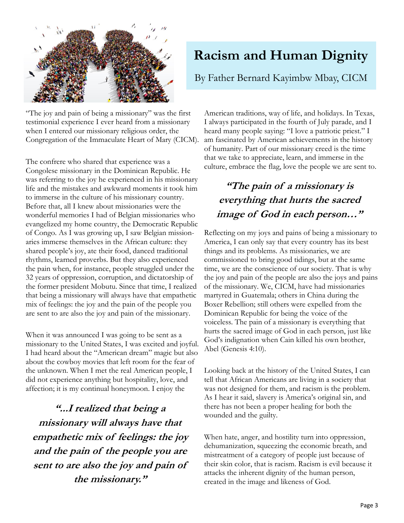

"The joy and pain of being a missionary" was the first testimonial experience I ever heard from a missionary when I entered our missionary religious order, the Congregation of the Immaculate Heart of Mary (CICM).

The confrere who shared that experience was a Congolese missionary in the Dominican Republic. He was referring to the joy he experienced in his missionary life and the mistakes and awkward moments it took him to immerse in the culture of his missionary country. Before that, all I knew about missionaries were the wonderful memories I had of Belgian missionaries who evangelized my home country, the Democratic Republic of Congo. As I was growing up, I saw Belgian missionaries immerse themselves in the African culture: they shared people's joy, ate their food, danced traditional rhythms, learned proverbs. But they also experienced the pain when, for instance, people struggled under the 32 years of oppression, corruption, and dictatorship of the former president Mobutu. Since that time, I realized that being a missionary will always have that empathetic mix of feelings: the joy and the pain of the people you are sent to are also the joy and pain of the missionary.

When it was announced I was going to be sent as a missionary to the United States, I was excited and joyful. I had heard about the "American dream" magic but also about the cowboy movies that left room for the fear of the unknown. When I met the real American people, I did not experience anything but hospitality, love, and affection; it is my continual honeymoon. I enjoy the

**"...I realized that being a missionary will always have that empathetic mix of feelings: the joy and the pain of the people you are sent to are also the joy and pain of the missionary."**

## **Racism and Human Dignity**

By Father Bernard Kayimbw Mbay, CICM

American traditions, way of life, and holidays. In Texas, I always participated in the fourth of July parade, and I heard many people saying: "I love a patriotic priest." I am fascinated by American achievements in the history of humanity. Part of our missionary creed is the time that we take to appreciate, learn, and immerse in the culture, embrace the flag, love the people we are sent to.

### **"The pain of a missionary is everything that hurts the sacred image of God in each person…"**

Reflecting on my joys and pains of being a missionary to America, I can only say that every country has its best things and its problems. As missionaries, we are commissioned to bring good tidings, but at the same time, we are the conscience of our society. That is why the joy and pain of the people are also the joys and pains of the missionary. We, CICM, have had missionaries martyred in Guatemala; others in China during the Boxer Rebellion; still others were expelled from the Dominican Republic for being the voice of the voiceless. The pain of a missionary is everything that hurts the sacred image of God in each person, just like God's indignation when Cain killed his own brother, Abel (Genesis 4:10).

Looking back at the history of the United States, I can tell that African Americans are living in a society that was not designed for them, and racism is the problem. As I hear it said, slavery is America's original sin, and there has not been a proper healing for both the wounded and the guilty.

When hate, anger, and hostility turn into oppression, dehumanization, squeezing the economic breath, and mistreatment of a category of people just because of their skin color, that is racism. Racism is evil because it attacks the inherent dignity of the human person, created in the image and likeness of God.